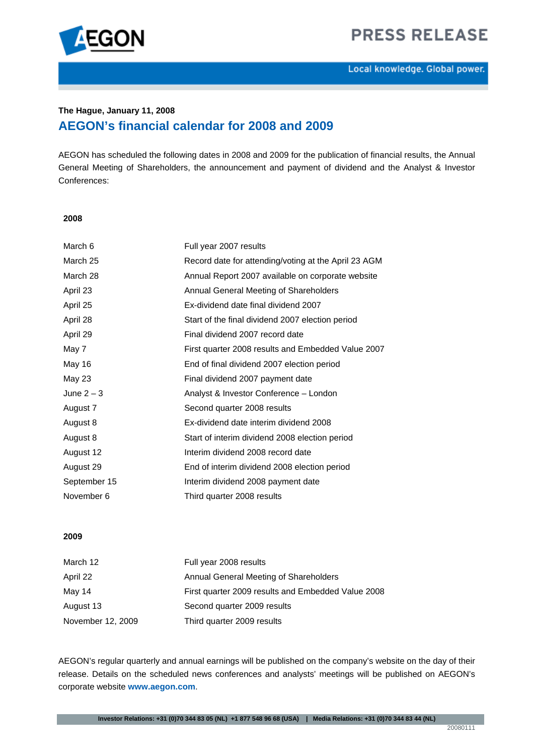



# **The Hague, January 11, 2008 AEGON's financial calendar for 2008 and 2009**

AEGON has scheduled the following dates in 2008 and 2009 for the publication of financial results, the Annual General Meeting of Shareholders, the announcement and payment of dividend and the Analyst & Investor Conferences:

### **2008**

| March 6      | Full year 2007 results                               |  |
|--------------|------------------------------------------------------|--|
| March 25     | Record date for attending/voting at the April 23 AGM |  |
| March 28     | Annual Report 2007 available on corporate website    |  |
| April 23     | Annual General Meeting of Shareholders               |  |
| April 25     | Ex-dividend date final dividend 2007                 |  |
| April 28     | Start of the final dividend 2007 election period     |  |
| April 29     | Final dividend 2007 record date                      |  |
| May 7        | First quarter 2008 results and Embedded Value 2007   |  |
| May 16       | End of final dividend 2007 election period           |  |
| May 23       | Final dividend 2007 payment date                     |  |
| June $2-3$   | Analyst & Investor Conference - London               |  |
| August 7     | Second quarter 2008 results                          |  |
| August 8     | Ex-dividend date interim dividend 2008               |  |
| August 8     | Start of interim dividend 2008 election period       |  |
| August 12    | Interim dividend 2008 record date                    |  |
| August 29    | End of interim dividend 2008 election period         |  |
| September 15 | Interim dividend 2008 payment date                   |  |
| November 6   | Third quarter 2008 results                           |  |

## **2009**

| March 12          | Full year 2008 results                             |  |
|-------------------|----------------------------------------------------|--|
| April 22          | Annual General Meeting of Shareholders             |  |
| May 14            | First quarter 2009 results and Embedded Value 2008 |  |
| August 13         | Second quarter 2009 results                        |  |
| November 12, 2009 | Third quarter 2009 results                         |  |

AEGON's regular quarterly and annual earnings will be published on the company's website on the day of their release. Details on the scheduled news conferences and analysts' meetings will be published on AEGON's corporate website **[www.aegon.com](http://www.aegon.com/)**.